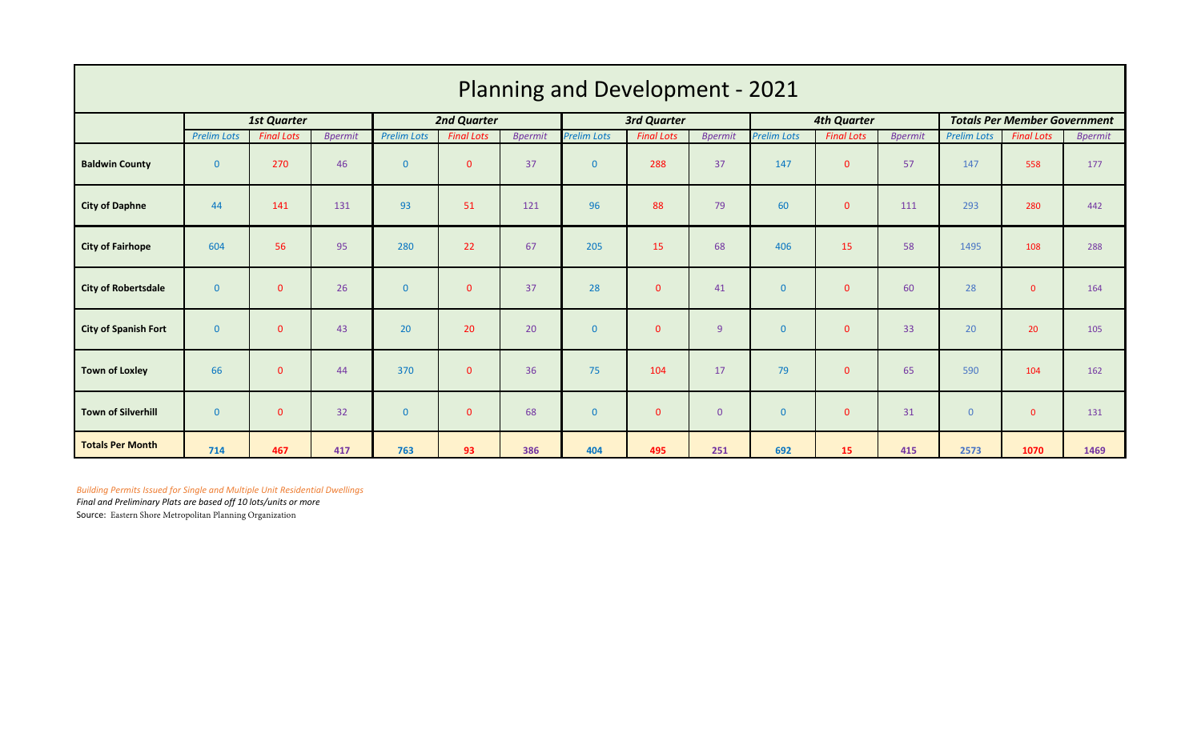| <b>Planning and Development - 2021</b> |                    |                   |                |                    |                   |                    |                    |                   |                    |                    |                   |                                     |                    |                   |                |
|----------------------------------------|--------------------|-------------------|----------------|--------------------|-------------------|--------------------|--------------------|-------------------|--------------------|--------------------|-------------------|-------------------------------------|--------------------|-------------------|----------------|
|                                        | <b>1st Quarter</b> |                   |                | <b>2nd Quarter</b> |                   | <b>3rd Quarter</b> |                    |                   | <b>4th Quarter</b> |                    |                   | <b>Totals Per Member Government</b> |                    |                   |                |
|                                        | <b>Prelim Lots</b> | <b>Final Lots</b> | <b>Bpermit</b> | <b>Prelim Lots</b> | <b>Final Lots</b> | <b>Bpermit</b>     | <b>Prelim Lots</b> | <b>Final Lots</b> | <b>Bpermit</b>     | <b>Prelim Lots</b> | <b>Final Lots</b> | <b>Bpermit</b>                      | <b>Prelim Lots</b> | <b>Final Lots</b> | <b>Bpermit</b> |
| <b>Baldwin County</b>                  | $\mathbf{0}$       | 270               | 46             | $\mathbf{0}$       | $\mathbf{0}$      | 37                 | $\overline{0}$     | 288               | 37                 | 147                | $\overline{0}$    | 57                                  | 147                | 558               | 177            |
| <b>City of Daphne</b>                  | 44                 | 141               | 131            | 93                 | 51                | 121                | 96                 | 88                | 79                 | 60                 | $\mathbf{0}$      | 111                                 | 293                | 280               | 442            |
| <b>City of Fairhope</b>                | 604                | 56                | 95             | 280                | 22                | 67                 | 205                | 15                | 68                 | 406                | 15                | 58                                  | 1495               | 108               | 288            |
| <b>City of Robertsdale</b>             | $\mathbf{0}$       | $\overline{0}$    | 26             | $\mathbf{0}$       | $\mathbf{0}$      | 37                 | 28                 | $\overline{0}$    | 41                 | $\mathbf{0}$       | $\overline{0}$    | 60                                  | 28                 | $\mathbf{0}$      | 164            |
| City of Spanish Fort                   | $\mathbf{0}$       | $\overline{0}$    | 43             | 20                 | 20                | 20                 | $\overline{0}$     | $\overline{0}$    | 9 <sup>°</sup>     | $\mathbf{0}$       | $\mathbf{0}$      | 33                                  | 20                 | 20                | 105            |
| <b>Town of Loxley</b>                  | 66                 | $\overline{0}$    | 44             | 370                | $\mathbf{0}$      | 36                 | 75                 | 104               | 17                 | 79                 | $\overline{0}$    | 65                                  | 590                | 104               | 162            |
| Town of Silverhill                     | $\mathbf{0}$       | $\overline{0}$    | 32             | $\mathbf{0}$       | $\mathbf{0}$      | 68                 | $\overline{0}$     | $\mathbf{0}$      | $\overline{0}$     | $\overline{0}$     | $\mathbf{0}$      | 31                                  | $\overline{0}$     | $\mathbf{0}$      | 131            |
| <b>Totals Per Month</b>                | 714                | 467               | 417            | 763                | 93                | 386                | 404                | 495               | 251                | 692                | 15                | 415                                 | 2573               | 1070              | 1469           |

*Building Permits Issued for Single and Multiple Unit Residential Dwellings Final and Preliminary Plats are based off 10 lots/units or more*

Source: Eastern Shore Metropolitan Planning Organization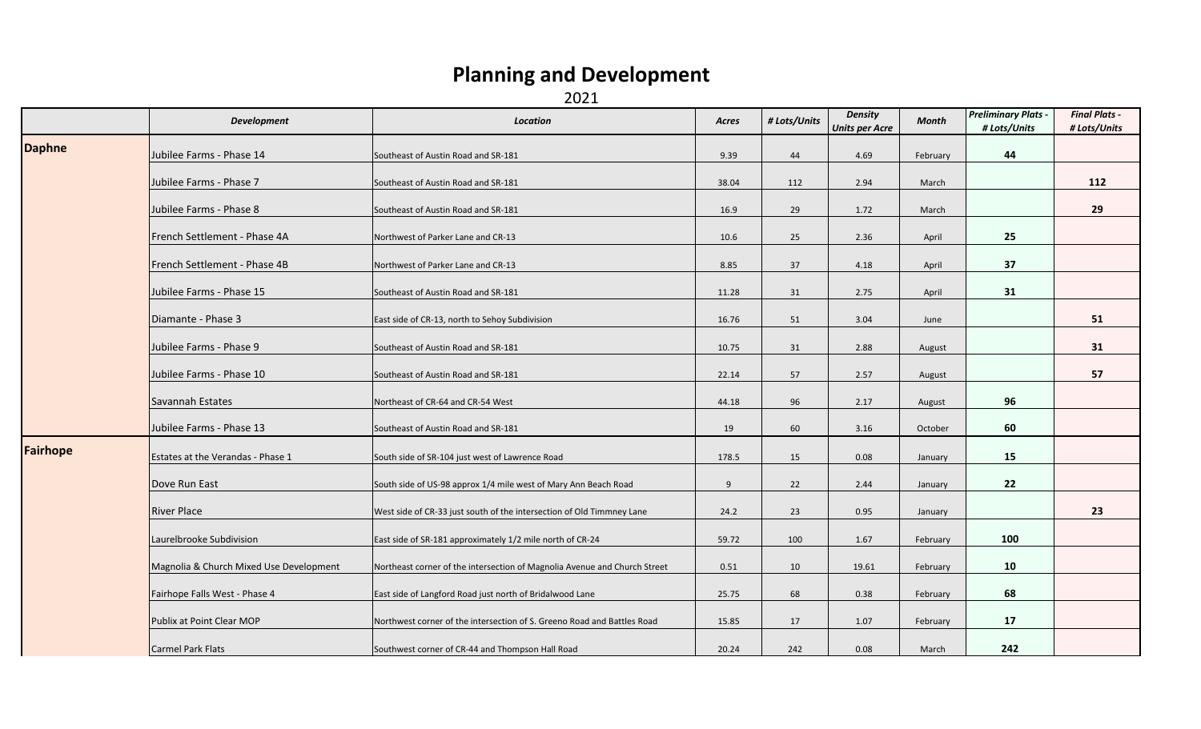## **Planning and Development**

2021

|                 | <b>Development</b>                      | <b>Location</b>                                                           | Acres | # Lots/Units | <b>Density</b><br><b>Units per Acre</b> | Month    | <b>Preliminary Plats -</b><br># Lots/Units | <b>Final Plats -</b><br># Lots/Units |
|-----------------|-----------------------------------------|---------------------------------------------------------------------------|-------|--------------|-----------------------------------------|----------|--------------------------------------------|--------------------------------------|
| <b>Daphne</b>   | Jubilee Farms - Phase 14                | Southeast of Austin Road and SR-181                                       | 9.39  | 44           | 4.69                                    | February | 44                                         |                                      |
|                 | Jubilee Farms - Phase 7                 | Southeast of Austin Road and SR-181                                       | 38.04 | 112          | 2.94                                    | March    |                                            | 112                                  |
|                 | Jubilee Farms - Phase 8                 | Southeast of Austin Road and SR-181                                       | 16.9  | 29           | 1.72                                    | March    |                                            | 29                                   |
|                 | French Settlement - Phase 4A            | Northwest of Parker Lane and CR-13                                        | 10.6  | 25           | 2.36                                    | April    | 25                                         |                                      |
|                 | French Settlement - Phase 4B            | Northwest of Parker Lane and CR-13                                        | 8.85  | 37           | 4.18                                    | April    | 37                                         |                                      |
|                 | Jubilee Farms - Phase 15                | Southeast of Austin Road and SR-181                                       | 11.28 | 31           | 2.75                                    | April    | 31                                         |                                      |
|                 | Diamante - Phase 3                      | East side of CR-13, north to Sehoy Subdivision                            | 16.76 | 51           | 3.04                                    | June     |                                            | 51                                   |
|                 | Jubilee Farms - Phase 9                 | Southeast of Austin Road and SR-181                                       | 10.75 | 31           | 2.88                                    | August   |                                            | 31                                   |
|                 | Jubilee Farms - Phase 10                | Southeast of Austin Road and SR-181                                       | 22.14 | 57           | 2.57                                    | August   |                                            | 57                                   |
|                 | Savannah Estates                        | Northeast of CR-64 and CR-54 West                                         | 44.18 | 96           | 2.17                                    | August   | 96                                         |                                      |
|                 | Jubilee Farms - Phase 13                | Southeast of Austin Road and SR-181                                       | 19    | 60           | 3.16                                    | October  | 60                                         |                                      |
| <b>Fairhope</b> | Estates at the Verandas - Phase 1       | South side of SR-104 just west of Lawrence Road                           | 178.5 | 15           | 0.08                                    | January  | 15                                         |                                      |
|                 | Dove Run East                           | South side of US-98 approx 1/4 mile west of Mary Ann Beach Road           | 9     | 22           | 2.44                                    | January  | 22                                         |                                      |
|                 | <b>River Place</b>                      | West side of CR-33 just south of the intersection of Old Timmney Lane     | 24.2  | 23           | 0.95                                    | January  |                                            | 23                                   |
|                 | Laurelbrooke Subdivision                | East side of SR-181 approximately 1/2 mile north of CR-24                 | 59.72 | 100          | 1.67                                    | February | 100                                        |                                      |
|                 | Magnolia & Church Mixed Use Development | Northeast corner of the intersection of Magnolia Avenue and Church Street | 0.51  | 10           | 19.61                                   | February | 10                                         |                                      |
|                 | Fairhope Falls West - Phase 4           | East side of Langford Road just north of Bridalwood Lane                  | 25.75 | 68           | 0.38                                    | February | 68                                         |                                      |
|                 | Publix at Point Clear MOP               | Northwest corner of the intersection of S. Greeno Road and Battles Road   | 15.85 | 17           | 1.07                                    | February | 17                                         |                                      |
|                 | Carmel Park Flats                       | Southwest corner of CR-44 and Thompson Hall Road                          | 20.24 | 242          | 0.08                                    | March    | 242                                        |                                      |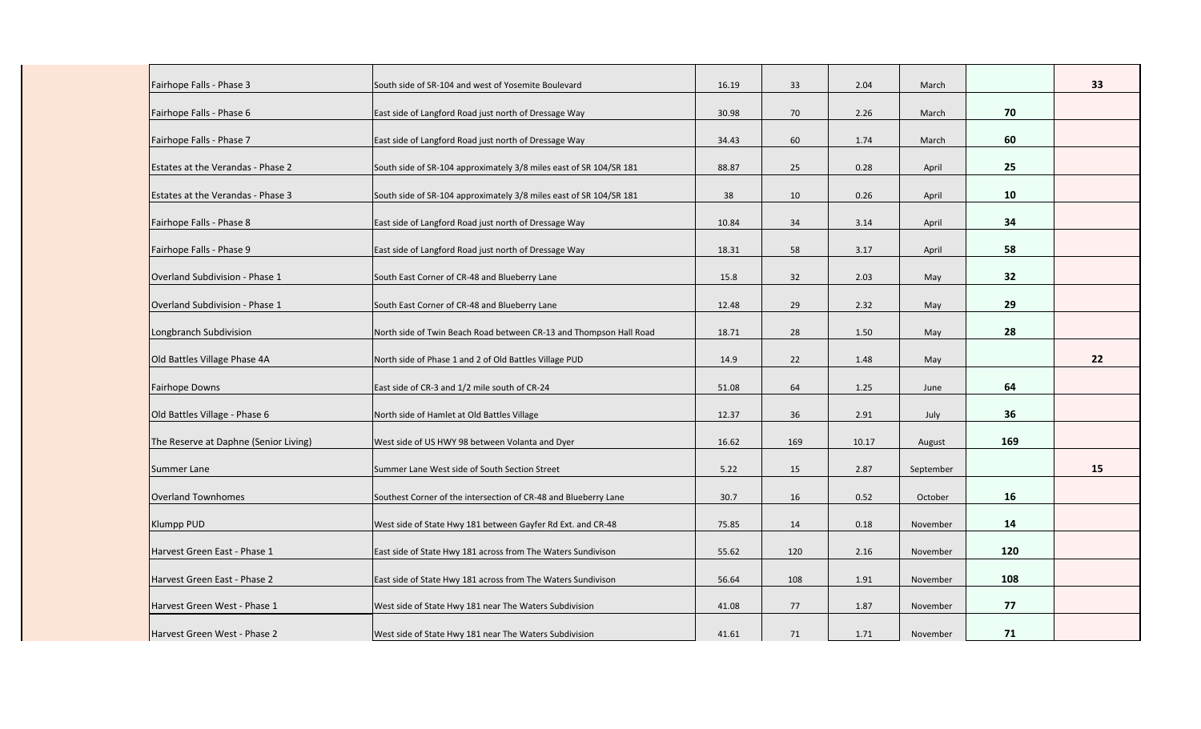| Fairhope Falls - Phase 3              | South side of SR-104 and west of Yosemite Boulevard                | 16.19 | 33  | 2.04  | March     |     | 33 |
|---------------------------------------|--------------------------------------------------------------------|-------|-----|-------|-----------|-----|----|
| Fairhope Falls - Phase 6              | East side of Langford Road just north of Dressage Way              | 30.98 | 70  | 2.26  | March     | 70  |    |
| Fairhope Falls - Phase 7              | East side of Langford Road just north of Dressage Way              | 34.43 | 60  | 1.74  | March     | 60  |    |
|                                       |                                                                    |       |     |       |           |     |    |
| Estates at the Verandas - Phase 2     | South side of SR-104 approximately 3/8 miles east of SR 104/SR 181 | 88.87 | 25  | 0.28  | April     | 25  |    |
| Estates at the Verandas - Phase 3     | South side of SR-104 approximately 3/8 miles east of SR 104/SR 181 | 38    | 10  | 0.26  | April     | 10  |    |
| Fairhope Falls - Phase 8              | East side of Langford Road just north of Dressage Way              | 10.84 | 34  | 3.14  | April     | 34  |    |
| Fairhope Falls - Phase 9              | East side of Langford Road just north of Dressage Way              | 18.31 | 58  | 3.17  | April     | 58  |    |
| Overland Subdivision - Phase 1        | South East Corner of CR-48 and Blueberry Lane                      | 15.8  | 32  | 2.03  | May       | 32  |    |
| Overland Subdivision - Phase 1        | South East Corner of CR-48 and Blueberry Lane                      | 12.48 | 29  | 2.32  | May       | 29  |    |
| Longbranch Subdivision                | North side of Twin Beach Road between CR-13 and Thompson Hall Road | 18.71 | 28  | 1.50  | May       | 28  |    |
| Old Battles Village Phase 4A          | North side of Phase 1 and 2 of Old Battles Village PUD             | 14.9  | 22  | 1.48  | May       |     | 22 |
| Fairhope Downs                        | East side of CR-3 and 1/2 mile south of CR-24                      | 51.08 | 64  | 1.25  | June      | 64  |    |
| Old Battles Village - Phase 6         | North side of Hamlet at Old Battles Village                        | 12.37 | 36  | 2.91  | July      | 36  |    |
| The Reserve at Daphne (Senior Living) | West side of US HWY 98 between Volanta and Dyer                    | 16.62 | 169 | 10.17 | August    | 169 |    |
| Summer Lane                           | Summer Lane West side of South Section Street                      | 5.22  | 15  | 2.87  | September |     | 15 |
| <b>Overland Townhomes</b>             | Southest Corner of the intersection of CR-48 and Blueberry Lane    | 30.7  | 16  | 0.52  | October   | 16  |    |
| <b>Klumpp PUD</b>                     | West side of State Hwy 181 between Gayfer Rd Ext. and CR-48        | 75.85 | 14  | 0.18  | November  | 14  |    |
| Harvest Green East - Phase 1          | East side of State Hwy 181 across from The Waters Sundivison       | 55.62 | 120 | 2.16  | November  | 120 |    |
|                                       |                                                                    |       |     |       |           |     |    |
| Harvest Green East - Phase 2          | East side of State Hwy 181 across from The Waters Sundivison       | 56.64 | 108 | 1.91  | November  | 108 |    |
| Harvest Green West - Phase 1          | West side of State Hwy 181 near The Waters Subdivision             | 41.08 | 77  | 1.87  | November  | 77  |    |
| Harvest Green West - Phase 2          | West side of State Hwy 181 near The Waters Subdivision             | 41.61 | 71  | 1.71  | November  | 71  |    |